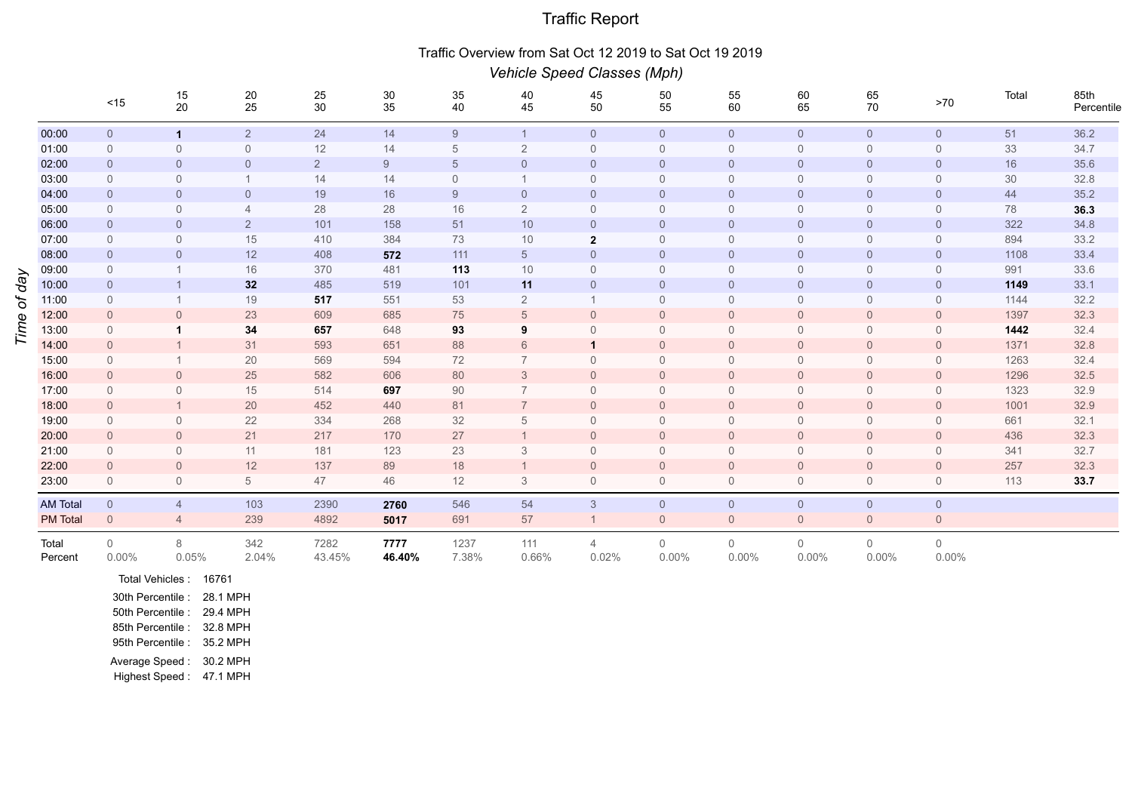## Traffic Report

## Traffic Overview from Sat Oct 12 2019 to Sat Oct 19 2019

|          |                  | Vehicle Speed Classes (Mph) |                |                                         |                |                |                |                |                         |                      |                      |                            |                |                         |       |                    |
|----------|------------------|-----------------------------|----------------|-----------------------------------------|----------------|----------------|----------------|----------------|-------------------------|----------------------|----------------------|----------------------------|----------------|-------------------------|-------|--------------------|
|          |                  | $<15$                       | 15<br>20       | $\begin{array}{c} 20 \\ 25 \end{array}$ | 25<br>30       | $30\,$<br>35   | $35\,$<br>40   | 40<br>45       | 45<br>50                | 50<br>55             | 55<br>60             | 60<br>65                   | 65<br>70       | $>70$                   | Total | 85th<br>Percentile |
|          | 00:00            | $\overline{0}$              | $\mathbf{1}$   | $\overline{2}$                          | 24             | 14             | 9              | $\overline{1}$ | $\overline{0}$          | $\overline{0}$       | $\overline{0}$       | $\overline{0}$             | $\overline{0}$ | $\overline{0}$          | 51    | 36.2               |
|          | 01:00            | $\mathbf 0$                 | $\overline{0}$ | $\mathbf 0$                             | 12             | 14             | 5              | $\overline{2}$ | $\overline{0}$          | $\mathbf 0$          | $\overline{0}$       | $\Omega$                   | $\overline{0}$ | $\mathbf 0$             | 33    | 34.7               |
|          | 02:00            | $\overline{0}$              | $\overline{0}$ | $\overline{0}$                          | $\overline{2}$ | 9              | $\overline{5}$ | $\overline{0}$ | $\overline{0}$          | $\overline{0}$       | $\overline{0}$       | $\overline{0}$             | $\overline{0}$ | $\overline{0}$          | 16    | 35.6               |
|          | 03:00            | $\overline{0}$              | $\mathbf 0$    | $\mathbf{1}$                            | 14             | 14             | $\mathbf 0$    |                | $\mathbf 0$             | $\mathbf 0$          | $\overline{0}$       | $\Omega$                   | $\overline{0}$ | $\mathbf 0$             | 30    | 32.8               |
|          | 04:00            | $\overline{0}$              | $\overline{0}$ | $\overline{0}$                          | 19             | 16             | 9              | $\overline{0}$ | $\overline{0}$          | $\overline{0}$       | $\overline{0}$       | $\overline{0}$             | $\overline{0}$ | $\overline{0}$          | 44    | 35.2               |
|          | 05:00            | $\overline{0}$              | $\overline{0}$ | $\overline{4}$                          | 28             | 28             | 16             | $\overline{2}$ | $\overline{0}$          | $\mathbf 0$          | $\mathbf 0$          | $\Omega$                   | $\overline{0}$ | $\overline{0}$          | 78    | 36.3               |
|          | 06:00            | $\overline{0}$              | $\overline{0}$ | $\overline{2}$                          | 101            | 158            | 51             | 10             | $\overline{0}$          | $\mathbf{0}$         | $\overline{0}$       | $\overline{0}$             | $\overline{0}$ | $\overline{0}$          | 322   | 34.8               |
|          | 07:00            | $\overline{0}$              | $\mathbf 0$    | 15                                      | 410            | 384            | 73             | $10$           | $\mathbf 2$             | $\mathsf{O}\xspace$  | $\overline{0}$       | $\overline{0}$             | $\overline{0}$ | $\mathbf 0$             | 894   | 33.2               |
| Vep<br>ð | 08:00            | $\overline{0}$              | $\overline{0}$ | 12                                      | 408            | 572            | 111            | $\overline{5}$ | $\overline{0}$          | $\mathbf{0}$         | $\mathsf{O}$         | $\mathbf 0$                | $\overline{0}$ | $\mathbf 0$             | 1108  | 33.4               |
|          | 09:00            | $\mathbf 0$                 |                | 16                                      | 370            | 481            | 113            | 10             | $\mathbf 0$             | $\mathbf 0$          | $\overline{0}$       | $\Omega$                   | $\overline{0}$ | $\mathbf 0$             | 991   | 33.6               |
|          | 10:00            | $\overline{0}$              |                | 32                                      | 485            | 519            | 101            | 11             | $\overline{0}$          | $\overline{0}$       | $\overline{0}$       | $\overline{0}$             | $\overline{0}$ | $\overline{0}$          | 1149  | 33.1               |
|          | 11:00            | $\overline{0}$              |                | 19                                      | 517            | 551            | 53             | $\overline{2}$ |                         | $\mathbf 0$          | $\overline{0}$       | $\overline{0}$             | $\overline{0}$ | $\mathbf 0$             | 1144  | 32.2               |
|          | 12:00            | $\overline{0}$              | $\overline{0}$ | 23                                      | 609            | 685            | 75             | 5              | $\overline{0}$          | $\mathbf 0$          | $\overline{0}$       | $\overline{0}$             | $\overline{0}$ | $\overline{0}$          | 1397  | 32.3               |
| Ime      | 13:00            | $\overline{0}$              |                | 34                                      | 657            | 648            | 93             | 9              | $\Omega$                | $\mathbf 0$          | $\Omega$             | $\Omega$                   | $\Omega$       | $\overline{0}$          | 1442  | 32.4               |
|          | 14:00            | $\overline{0}$              |                | 31                                      | 593            | 651            | 88             | 6              | $\mathbf 1$             | $\overline{0}$       | $\overline{0}$       | $\overline{0}$             | $\overline{0}$ | $\overline{0}$          | 1371  | 32.8               |
|          | 15:00            | $\mathbf 0$                 |                | $20\,$                                  | 569            | 594            | 72             | $\overline{7}$ | $\mathbf{0}$            | $\mathsf{O}\xspace$  | $\overline{0}$       | $\overline{0}$             | $\overline{0}$ | $\mathbf 0$             | 1263  | 32.4               |
|          | 16:00            | $\overline{0}$              | $\overline{0}$ | 25                                      | 582            | 606            | 80             | 3              | $\overline{0}$          | $\mathsf{O}\xspace$  | $\overline{0}$       | $\overline{0}$             | $\overline{0}$ | $\overline{0}$          | 1296  | 32.5               |
|          | 17:00            | $\mathbf 0$                 | $\mathbf 0$    | 15                                      | 514            | 697            | 90             | $\overline{7}$ | $\Omega$                | $\mathbf 0$          | $\overline{0}$       | $\Omega$                   | $\overline{0}$ | $\mathbf 0$             | 1323  | 32.9               |
|          | 18:00            | $\overline{0}$              | $\mathbf{1}$   | 20                                      | 452            | 440            | 81             | $\overline{7}$ | $\overline{0}$          | $\overline{0}$       | $\overline{0}$       | $\overline{0}$             | $\overline{0}$ | $\overline{0}$          | 1001  | 32.9               |
|          | 19:00            | $\mathbf 0$                 | $\mathbf 0$    | 22                                      | 334            | 268            | 32             | 5              | $\mathbf{0}$            | $\mathsf{O}\xspace$  | $\overline{0}$       | $\Omega$                   | $\mathbf 0$    | $\mathbf 0$             | 661   | 32.1               |
|          | 20:00            | $\overline{0}$              | $\overline{0}$ | 21                                      | 217            | 170            | 27             |                | $\overline{0}$          | $\overline{0}$       | $\overline{0}$       | $\overline{0}$             | $\overline{0}$ | $\overline{0}$          | 436   | 32.3               |
|          | 21:00            | $\mathbf 0$                 | $\mathbf 0$    | 11                                      | 181            | 123            | 23             | 3              | $\overline{0}$          | $\mathbf 0$          | $\overline{0}$       | $\Omega$                   | $\overline{0}$ | $\mathbf 0$             | 341   | 32.7               |
|          | 22:00            | $\overline{0}$              | $\overline{0}$ | 12                                      | 137            | 89             | 18             |                | $\overline{0}$          | $\overline{0}$       | $\overline{0}$       | $\overline{0}$             | $\overline{0}$ | $\overline{0}$          | 257   | 32.3               |
|          | 23:00            | $\mathbf 0$                 | $\mathbf 0$    | $5\phantom{.0}$                         | 47             | 46             | 12             | 3              | $\mathbf 0$             | $\mathbf 0$          | $\mathbf 0$          | $\overline{0}$             | $\overline{0}$ | $\mathbf 0$             | 113   | 33.7               |
|          | <b>AM Total</b>  | $\overline{0}$              | $\overline{4}$ | 103                                     | 2390           | 2760           | 546            | 54             | $\mathfrak{S}$          | $\overline{0}$       | $\overline{0}$       | $\overline{0}$             | $\overline{0}$ | $\mathbf 0$             |       |                    |
|          | <b>PM</b> Total  | $\overline{0}$              | $\overline{4}$ | 239                                     | 4892           | 5017           | 691            | 57             | $\mathbf 1$             | $\overline{0}$       | $\mathbf 0$          | $\overline{0}$             | $\overline{0}$ | $\mathbf 0$             |       |                    |
|          | Total<br>Percent | $\mathbf 0$<br>$0.00\%$     | 8<br>0.05%     | 342<br>2.04%                            | 7282<br>43.45% | 7777<br>46.40% | 1237<br>7.38%  | 111<br>0.66%   | $\overline{4}$<br>0.02% | $\mathbf 0$<br>0.00% | $\mathbf 0$<br>0.00% | $\overline{0}$<br>$0.00\%$ | 0<br>$0.00\%$  | $\mathbb O$<br>$0.00\%$ |       |                    |
|          |                  |                             |                |                                         |                |                |                |                |                         |                      |                      |                            |                |                         |       |                    |

Total Vehicles : 16761 30th Percentile : 28.1 MPH 50th Percentile : 29.4 MPH 85th Percentile : 32.8 MPH 95th Percentile : 35.2 MPH Average Speed : 30.2 MPH Highest Speed : 47.1 MPH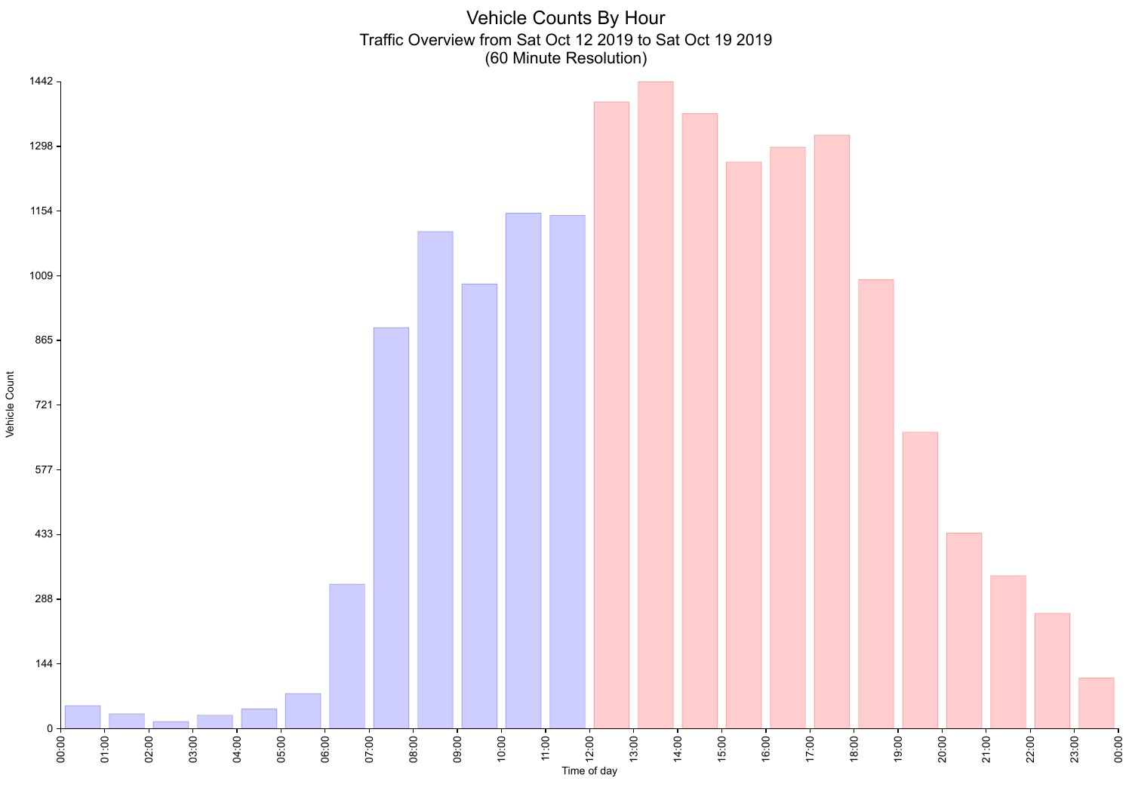Vehicle Counts By Hour Traffic Overview from Sat Oct 12 2019 to Sat Oct 19 2019 (60 Minute Resolution)



Vehicle Count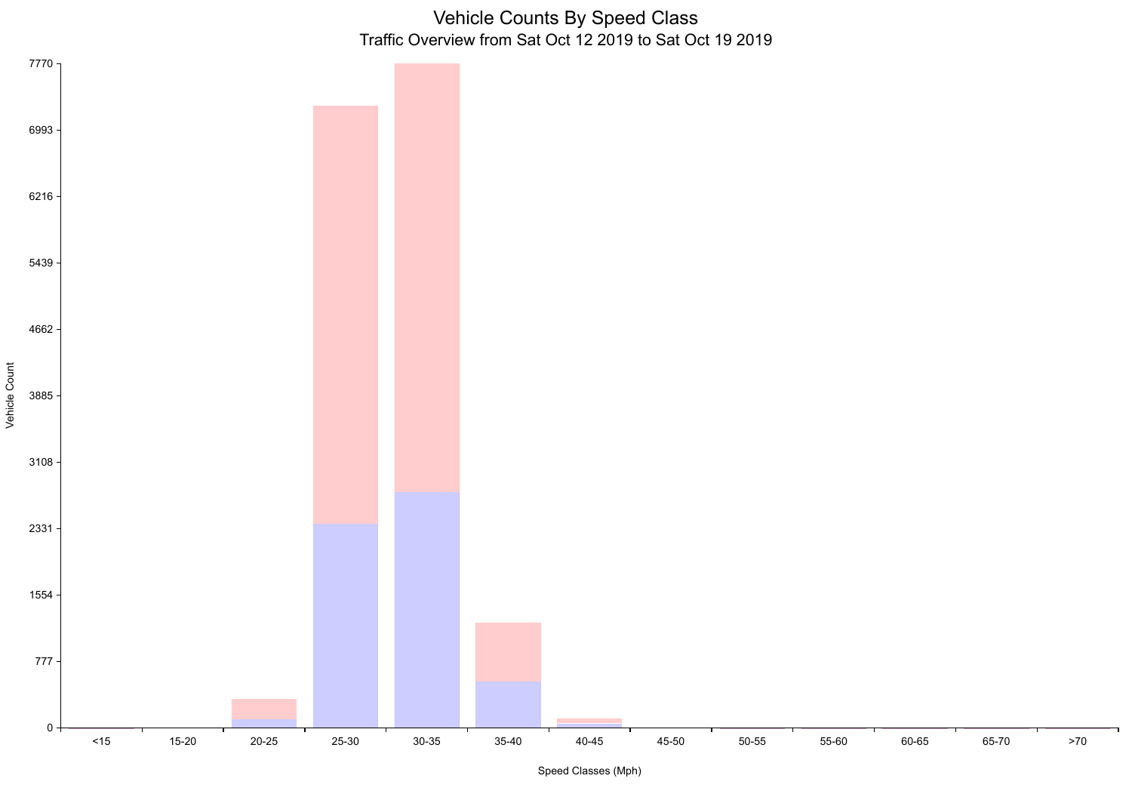Vehicle Counts By Speed Class Traffic Overview from Sat Oct 12 2019 to Sat Oct 19 2019



Speed Classes (Mph)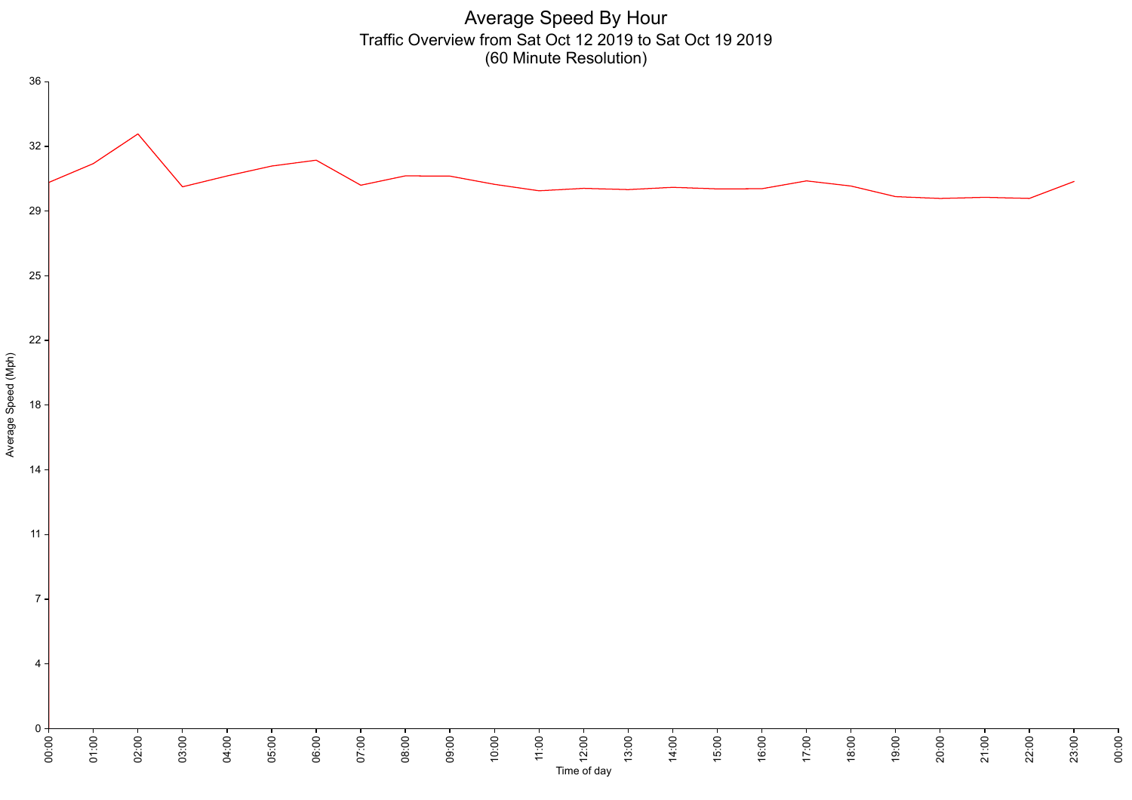

Time of day